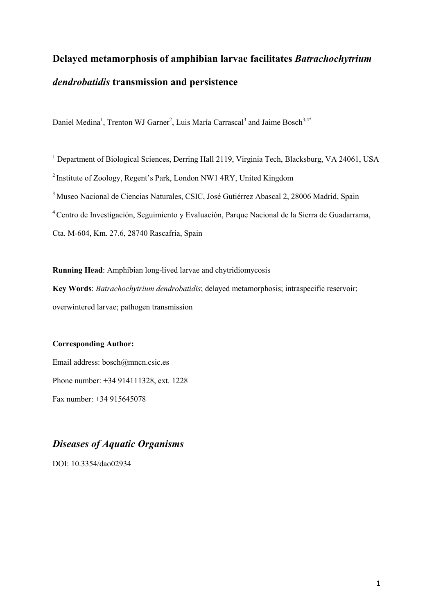## **Delayed metamorphosis of amphibian larvae facilitates** *Batrachochytrium dendrobatidis* **transmission and persistence**

Daniel Medina<sup>1</sup>, Trenton WJ Garner<sup>2</sup>, Luis María Carrascal<sup>3</sup> and Jaime Bosch<sup>3,4\*</sup>

<sup>1</sup> Department of Biological Sciences, Derring Hall 2119, Virginia Tech, Blacksburg, VA 24061, USA <sup>2</sup> Institute of Zoology, Regent's Park, London NW1 4RY, United Kingdom <sup>3</sup> Museo Nacional de Ciencias Naturales, CSIC, José Gutiérrez Abascal 2, 28006 Madrid, Spain <sup>4</sup>Centro de Investigación, Seguimiento y Evaluación, Parque Nacional de la Sierra de Guadarrama, Cta. M-604, Km. 27.6, 28740 Rascafría, Spain

**Running Head**: Amphibian long-lived larvae and chytridiomycosis **Key Words**: *Batrachochytrium dendrobatidis*; delayed metamorphosis; intraspecific reservoir; overwintered larvae; pathogen transmission

## **Corresponding Author:**

Email address: bosch@mncn.csic.es Phone number: +34 914111328, ext. 1228 Fax number: +34 915645078

## *Diseases of Aquatic Organisms*

DOI: 10.3354/dao02934